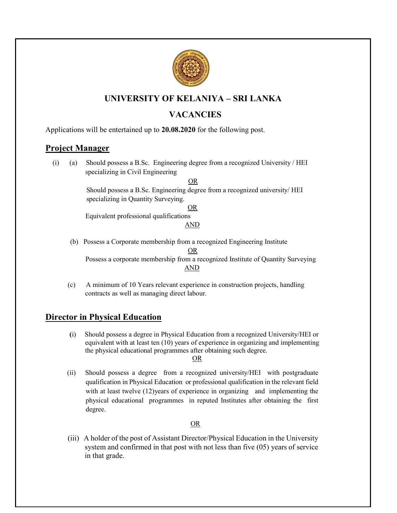

# UNIVERSITY OF KELANIYA – SRI LANKA

# **VACANCIES**

Applications will be entertained up to 20.08.2020 for the following post.

## Project Manager

 (i) (a) Should possess a B.Sc. Engineering degree from a recognized University / HEI specializing in Civil Engineering

OR

 Should possess a B.Sc. Engineering degree from a recognized university/ HEI specializing in Quantity Surveying.

<u>OR</u>

Equivalent professional qualifications

AND

- (b) Possess a Corporate membership from a recognized Engineering Institute **OR** Service Service Service Service Service Service Service Service Service Service Service Service Service Service Service Service Service Service Service Service Service Service Service Service Service Service Service S Possess a corporate membership from a recognized Institute of Quantity Surveying AND
- (c) A minimum of 10 Years relevant experience in construction projects, handling contracts as well as managing direct labour.

## Director in Physical Education

(i) Should possess a degree in Physical Education from a recognized University/HEI or equivalent with at least ten (10) years of experience in organizing and implementing the physical educational programmes after obtaining such degree. **OR** Service Service Service Service Service Service Service Service Service Service Service Service Service Service Service Service Service Service Service Service Service Service Service Service Service Service Service S

 (ii) Should possess a degree from a recognized university/HEI with postgraduate qualification in Physical Education or professional qualification in the relevant field with at least twelve (12)years of experience in organizing and implementing the physical educational programmes in reputed Institutes after obtaining the first degree.

#### **OR** Service State Street Street Street Street Street Street Street Street Street Street Street Street Street Street Street Street Street Street Street Street Street Street Street Street Street Street Street Street Street

(iii) A holder of the post of Assistant Director/Physical Education in the University system and confirmed in that post with not less than five (05) years of service in that grade.